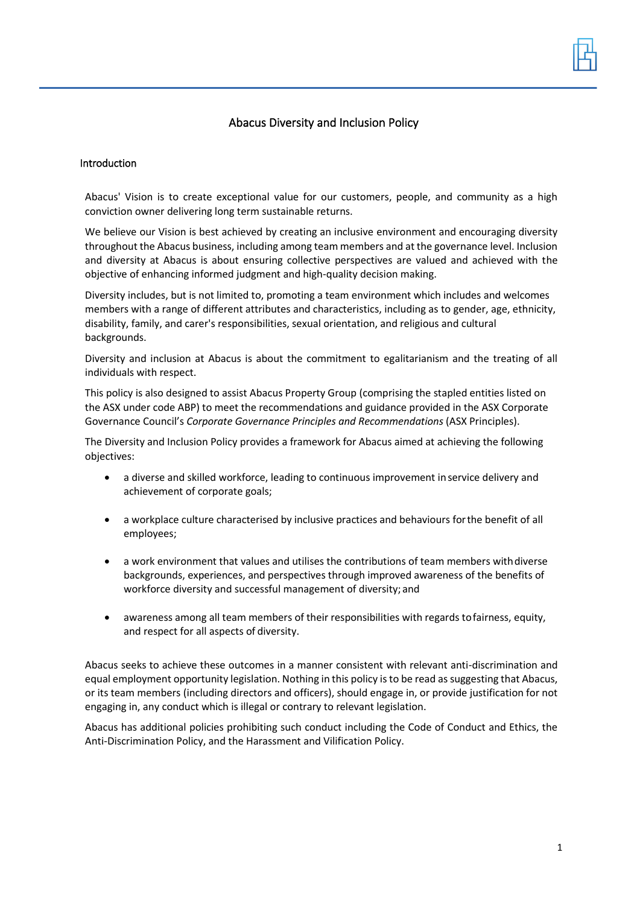# Abacus Diversity and Inclusion Policy

#### Introduction

Abacus' Vision is to create exceptional value for our customers, people, and community as a high conviction owner delivering long term sustainable returns.

We believe our Vision is best achieved by creating an inclusive environment and encouraging diversity throughout the Abacus business, including among team members and at the governance level. Inclusion and diversity at Abacus is about ensuring collective perspectives are valued and achieved with the objective of enhancing informed judgment and high-quality decision making.

Diversity includes, but is not limited to, promoting a team environment which includes and welcomes members with a range of different attributes and characteristics, including as to gender, age, ethnicity, disability, family, and carer's responsibilities, sexual orientation, and religious and cultural backgrounds.

Diversity and inclusion at Abacus is about the commitment to egalitarianism and the treating of all individuals with respect.

This policy is also designed to assist Abacus Property Group (comprising the stapled entities listed on the ASX under code ABP) to meet the recommendations and guidance provided in the ASX Corporate Governance Council's *Corporate Governance Principles and Recommendations* (ASX Principles).

The Diversity and Inclusion Policy provides a framework for Abacus aimed at achieving the following objectives:

- a diverse and skilled workforce, leading to continuous improvement in service delivery and achievement of corporate goals;
- a workplace culture characterised by inclusive practices and behaviours forthe benefit of all employees;
- a work environment that values and utilises the contributions of team members withdiverse backgrounds, experiences, and perspectives through improved awareness of the benefits of workforce diversity and successful management of diversity; and
- awareness among all team members of their responsibilities with regards tofairness, equity, and respect for all aspects of diversity.

Abacus seeks to achieve these outcomes in a manner consistent with relevant anti-discrimination and equal employment opportunity legislation. Nothing in this policy is to be read as suggesting that Abacus, or its team members (including directors and officers), should engage in, or provide justification for not engaging in, any conduct which is illegal or contrary to relevant legislation.

Abacus has additional policies prohibiting such conduct including the Code of Conduct and Ethics, the Anti-Discrimination Policy, and the Harassment and Vilification Policy.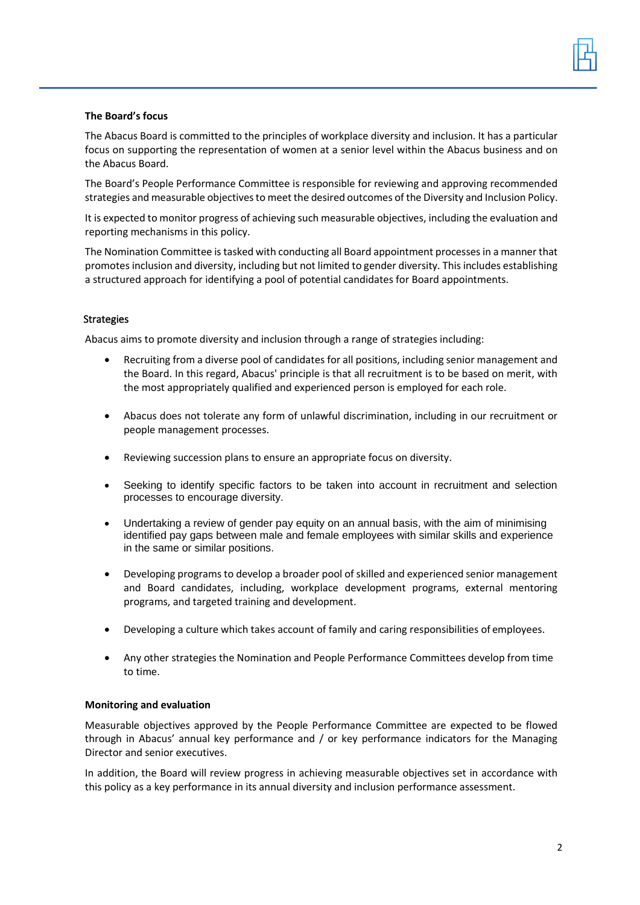

#### **The Board's focus**

The Abacus Board is committed to the principles of workplace diversity and inclusion. It has a particular focus on supporting the representation of women at a senior level within the Abacus business and on the Abacus Board.

The Board's People Performance Committee is responsible for reviewing and approving recommended strategies and measurable objectives to meet the desired outcomes of the Diversity and Inclusion Policy.

It is expected to monitor progress of achieving such measurable objectives, including the evaluation and reporting mechanisms in this policy.

The Nomination Committee is tasked with conducting all Board appointment processes in a manner that promotes inclusion and diversity, including but not limited to gender diversity. This includes establishing a structured approach for identifying a pool of potential candidates for Board appointments.

## **Strategies**

Abacus aims to promote diversity and inclusion through a range of strategies including:

- Recruiting from a diverse pool of candidates for all positions, including senior management and the Board. In this regard, Abacus' principle is that all recruitment is to be based on merit, with the most appropriately qualified and experienced person is employed for each role.
- Abacus does not tolerate any form of unlawful discrimination, including in our recruitment or people management processes.
- Reviewing succession plans to ensure an appropriate focus on diversity.
- Seeking to identify specific factors to be taken into account in recruitment and selection processes to encourage diversity.
- Undertaking a review of gender pay equity on an annual basis, with the aim of minimising identified pay gaps between male and female employees with similar skills and experience in the same or similar positions.
- Developing programs to develop a broader pool of skilled and experienced senior management and Board candidates, including, workplace development programs, external mentoring programs, and targeted training and development.
- Developing a culture which takes account of family and caring responsibilities of employees.
- Any other strategies the Nomination and People Performance Committees develop from time to time.

#### **Monitoring and evaluation**

Measurable objectives approved by the People Performance Committee are expected to be flowed through in Abacus' annual key performance and / or key performance indicators for the Managing Director and senior executives.

In addition, the Board will review progress in achieving measurable objectives set in accordance with this policy as a key performance in its annual diversity and inclusion performance assessment.